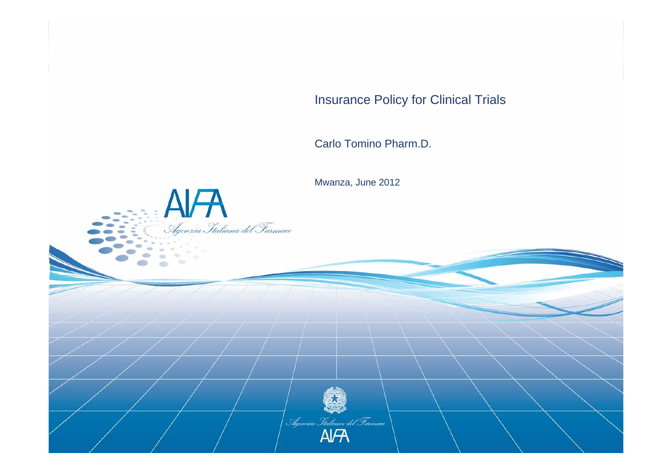Insurance Policy for Clinical Trials

Carlo Tomino Pharm.D.

Mwanza, June 2012

 $\overrightarrow{A}$ <br>Agenzia Italiana del Farmace

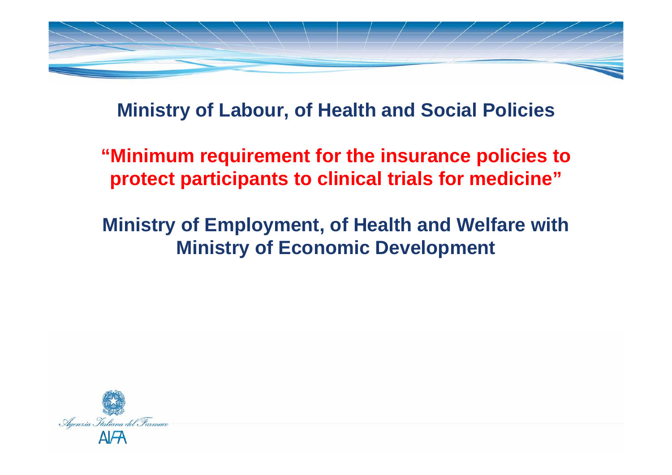

### **Ministry of Labour, of Health and Social Policies**

**"Minimum requirement for the insurance policies to protect participants to clinical trials for medicine"**

# **Ministry of Employment, of Health and Welfare with Ministry of Economic Development**

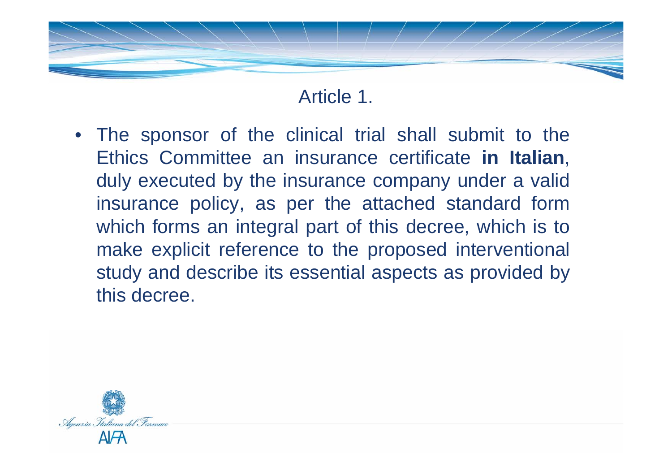

• The sponsor of the clinical trial shall submit to the Ethics Committee an insurance certificate **in Italian**, duly executed by the insurance company under a valid insurance policy, as per the attached standard form which forms an integral part of this decree, which is to make explicit reference to the proposed interventional study and describe its essential aspects as provided by this decree.

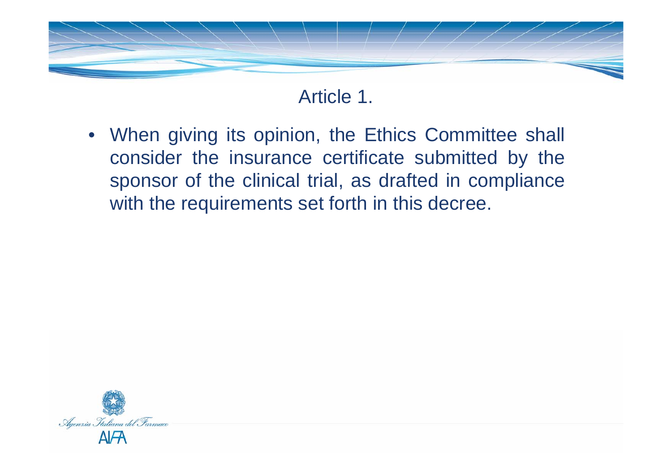

• When giving its opinion, the Ethics Committee shall consider the insurance certificate submitted by the sponsor of the clinical trial, as drafted in compliance with the requirements set forth in this decree.

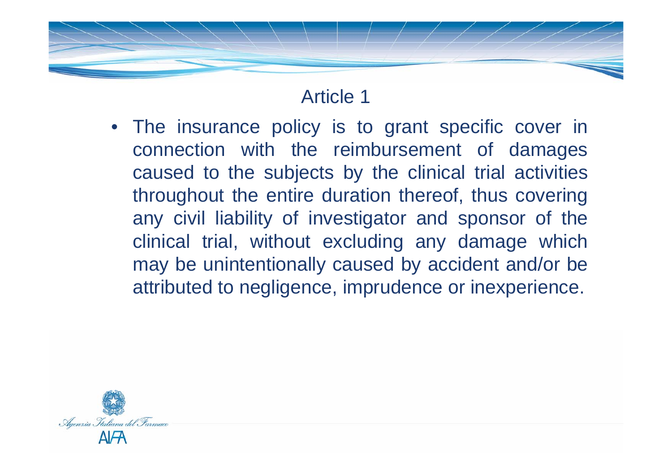### Article 1

• The insurance policy is to grant specific cover in connection with the reimbursement of damages caused to the subjects by the clinical trial activities throughout the entire duration thereof, thus covering any civil liability of investigator and sponsor of the clinical trial, without excluding any damage which may be unintentionally caused by accident and/or be attributed to negligence, imprudence or inexperience.

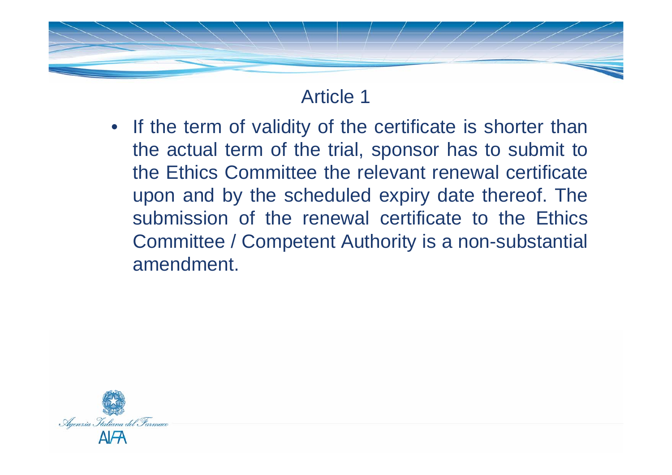# Article 1

• If the term of validity of the certificate is shorter than the actual term of the trial, sponsor has to submit to the Ethics Committee the relevant renewal certificate upon and by the scheduled expiry date thereof. The submission of the renewal certificate to the Ethics Committee / Competent Authority is a non-substantial amendment.

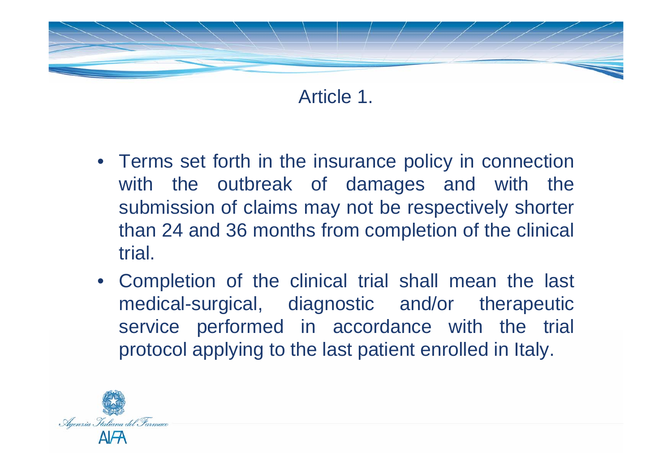

- Terms set forth in the insurance policy in connection with the outbreak of damages and with the submission of claims may not be respectively shorter than 24 and 36 months from completion of the clinical trial.
- Completion of the clinical trial shall mean the last medical-surgical, diagnostic and/or therapeutic service performed in accordance with the trial protocol applying to the last patient enrolled in Italy.

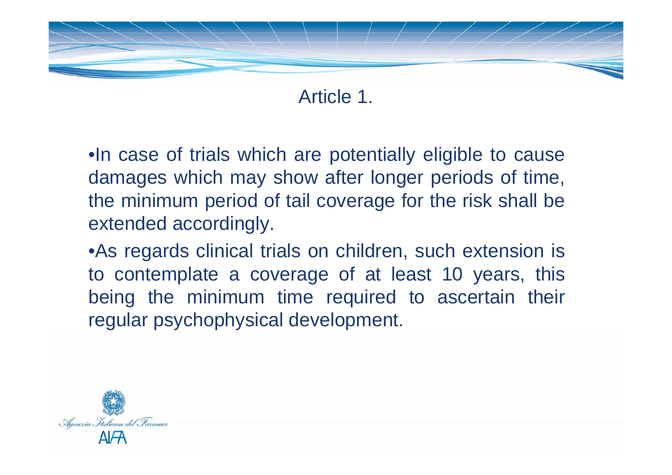

•In case of trials which are potentially eligible to cause damages which may show after longer periods of time, the minimum period of tail coverage for the risk shall be extended accordingly.

•As regards clinical trials on children, such extension is to contemplate a coverage of at least 10 years, this being the minimum time required to ascertain their regular psychophysical development.

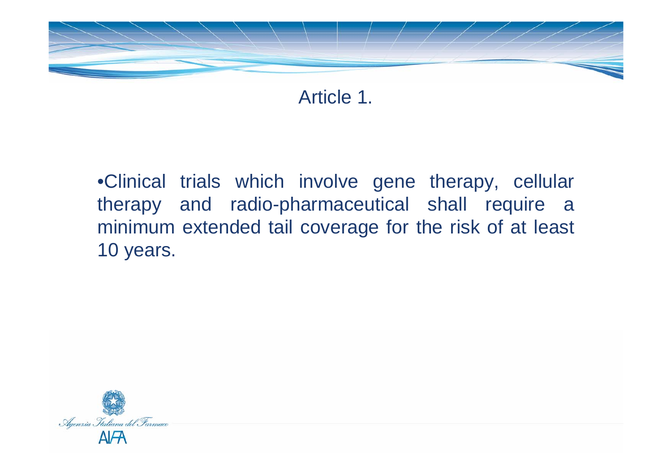

•Clinical trials which involve gene therapy, cellular therapy and radio-pharmaceutical shall require a minimum extended tail coverage for the risk of at least 10 years.

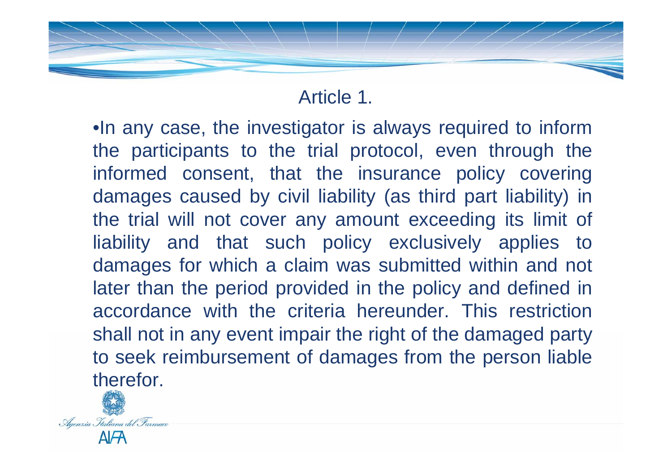•In any case, the investigator is always required to inform the participants to the trial protocol, even through the informed consent, that the insurance policy covering damages caused by civil liability (as third part liability) in the trial will not cover any amount exceeding its limit of liability and that such policy exclusively applies to damages for which a claim was submitted within and not later than the period provided in the policy and defined in accordance with the criteria hereunder. This restriction shall not in any event impair the right of the damaged party to seek reimbursement of damages from the person liable therefor.

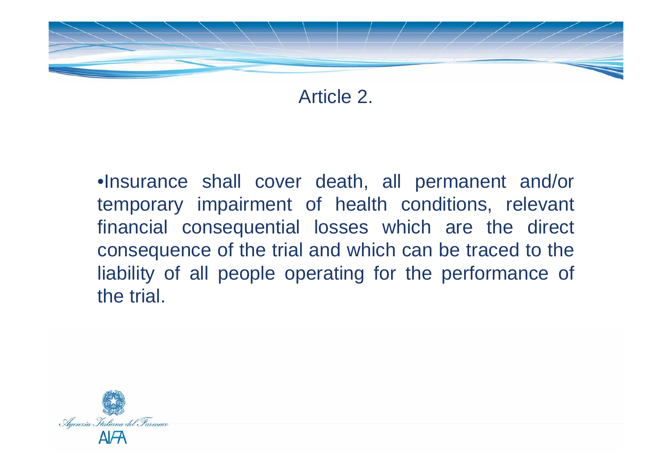

Article 2.

•Insurance shall cover death, all permanent and/or temporary impairment of health conditions, relevant financial consequential losses which are the direct consequence of the trial and which can be traced to the liability of all people operating for the performance of the trial.

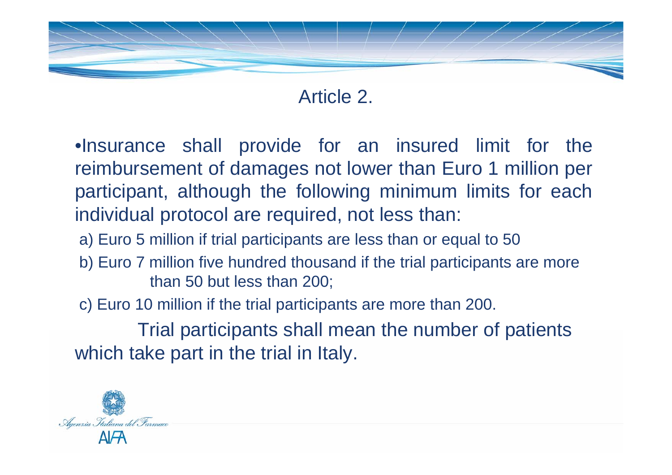

### Article 2.

•Insurance shall provide for an insured limit for the reimbursement of damages not lower than Euro 1 million per participant, although the following minimum limits for each individual protocol are required, not less than:

- a) Euro 5 million if trial participants are less than or equal to 50
- b) Euro 7 million five hundred thousand if the trial participants are more than 50 but less than 200;
- c) Euro 10 million if the trial participants are more than 200.

Trial participants shall mean the number of patients which take part in the trial in Italy.

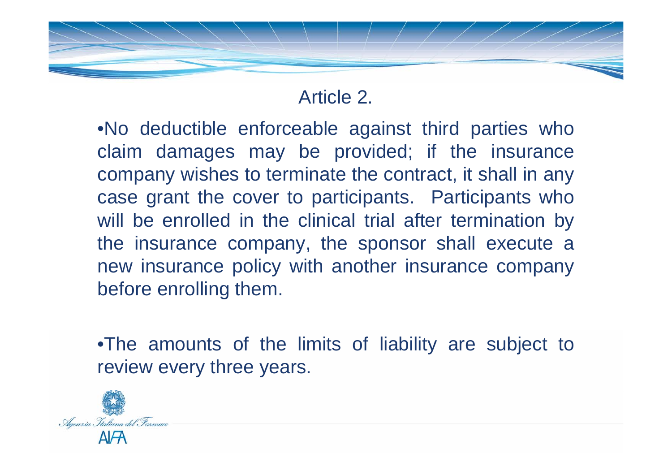# Article 2.

•No deductible enforceable against third parties who claim damages may be provided; if the insurance company wishes to terminate the contract, it shall in any case grant the cover to participants. Participants who will be enrolled in the clinical trial after termination by the insurance company, the sponsor shall execute a new insurance policy with another insurance company before enrolling them.

•The amounts of the limits of liability are subject to review every three years.

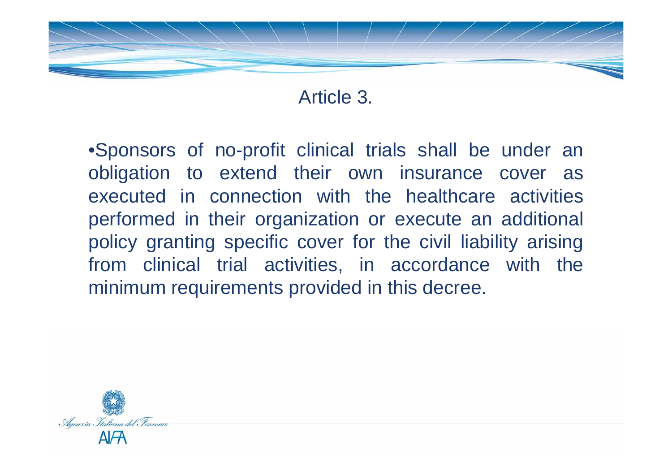

Article 3.

•Sponsors of no-profit clinical trials shall be under an obligation to extend their own insurance cover as executed in connection with the healthcare activities performed in their organization or execute an additional policy granting specific cover for the civil liability arising from clinical trial activities, in accordance with the minimum requirements provided in this decree.

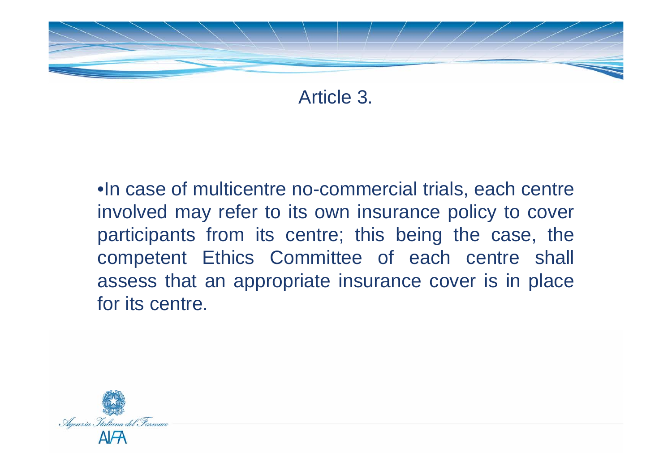

Article 3.

•In case of multicentre no-commercial trials, each centre involved may refer to its own insurance policy to cover participants from its centre; this being the case, the competent Ethics Committee of each centre shall assess that an appropriate insurance cover is in place for its centre.

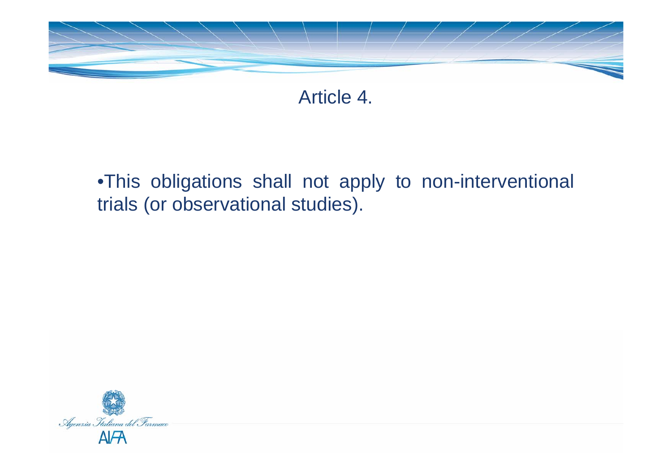

Article 4.

# •This obligations shall not apply to non-interventional trials (or observational studies).

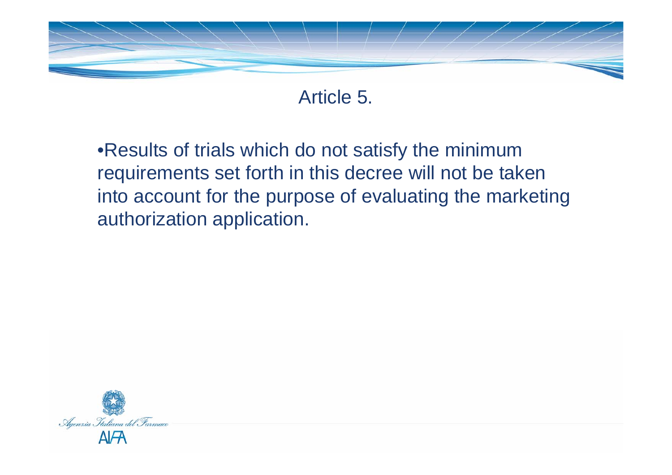

Article 5.

•Results of trials which do not satisfy the minimum requirements set forth in this decree will not be taken into account for the purpose of evaluating the marketing authorization application.

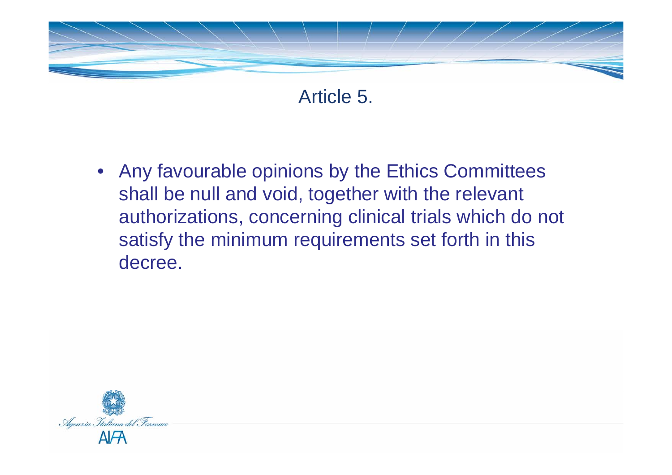

Article 5.

• Any favourable opinions by the Ethics Committees shall be null and void, together with the relevant authorizations, concerning clinical trials which do not satisfy the minimum requirements set forth in this decree.

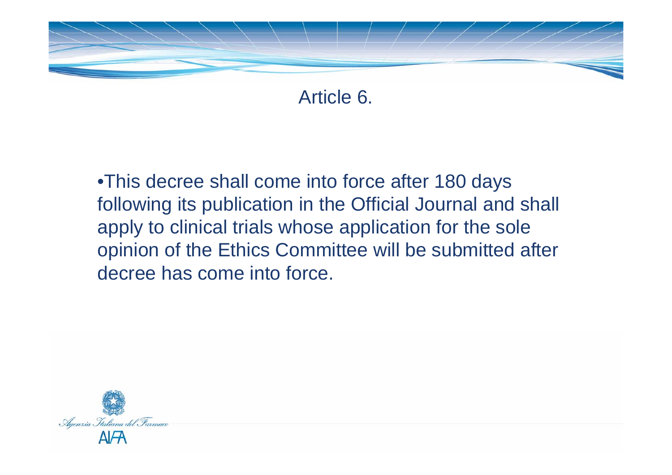

Article 6.

•This decree shall come into force after 180 days following its publication in the Official Journal and shall apply to clinical trials whose application for the sole opinion of the Ethics Committee will be submitted after decree has come into force.

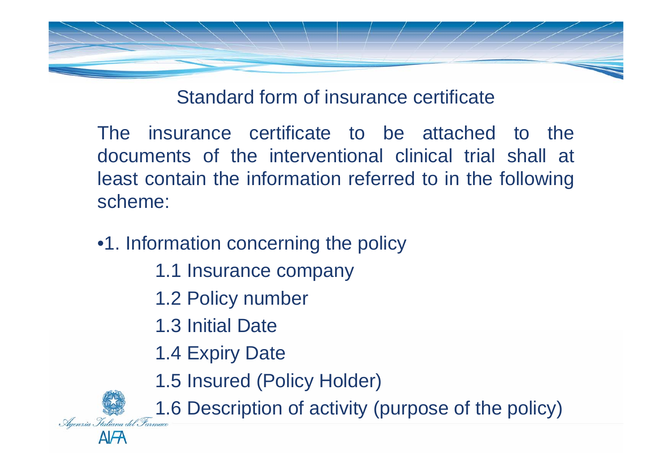

Standard form of insurance certificate

The insurance certificate to be attached to the documents of the interventional clinical trial shall at least contain the information referred to in the following scheme:

- •1. Information concerning the policy
	- 1.1 Insurance company
	- 1.2 Policy number
	- 1.3 Initial Date
	- 1.4 Expiry Date

**AIFA** 

1.5 Insured (Policy Holder)

 $\frac{1}{\sqrt{2}}$  1.6 Description of activity (purpose of the policy)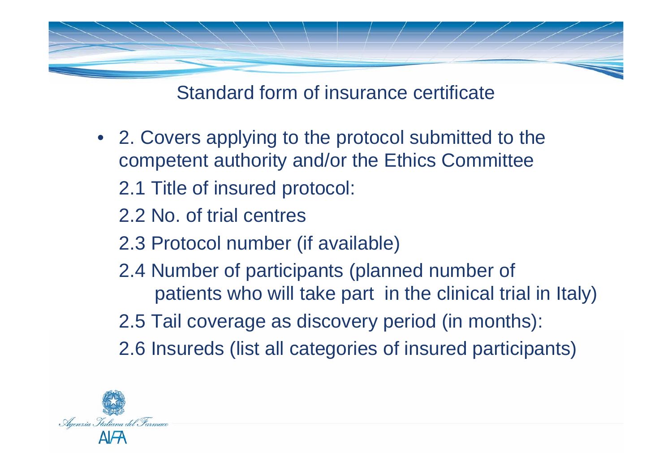

Standard form of insurance certificate

• 2. Covers applying to the protocol submitted to the competent authority and/or the Ethics Committee

2.1 Title of insured protocol:

2.2 No. of trial centres

- 2.3 Protocol number (if available)
- 2.4 Number of participants (planned number of patients who will take part in the clinical trial in Italy)

2.5 Tail coverage as discovery period (in months):

2.6 Insureds (list all categories of insured participants)

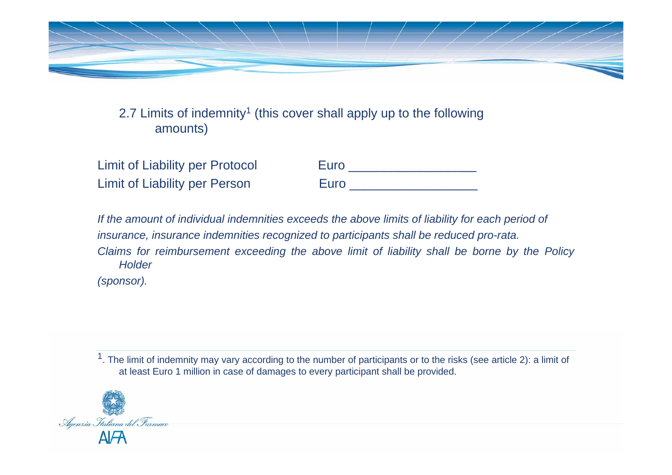

2.7 Limits of indemnity<sup>1</sup> (this cover shall apply up to the following amounts)

| <b>Limit of Liability per Protocol</b> | Euro |
|----------------------------------------|------|
| Limit of Liability per Person          | Euro |

*If the amount of individual indemnities exceeds the above limits of liability for each period of insurance, insurance indemnities recognized to participants shall be reduced pro-rata. Claims for reimbursement exceeding the above limit of liability shall be borne by the Policy Holder(sponsor).*

<sup>1</sup>. The limit of indemnity may vary according to the number of participants or to the risks (see article 2): a limit of at least Euro 1 million in case of damages to every participant shall be provided.